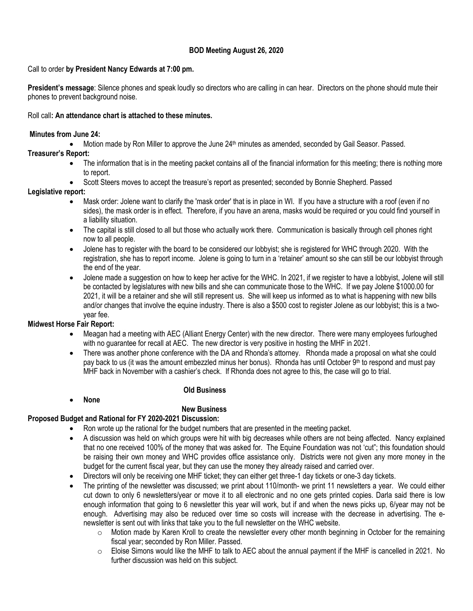## **BOD Meeting August 26, 2020**

## Call to order **by President Nancy Edwards at 7:00 pm.**

**President's message**: Silence phones and speak loudly so directors who are calling in can hear. Directors on the phone should mute their phones to prevent background noise.

## Roll call**: An attendance chart is attached to these minutes.**

## **Minutes from June 24:**

• Motion made by Ron Miller to approve the June 24<sup>th</sup> minutes as amended, seconded by Gail Seasor. Passed.

## **Treasurer's Report:**

- The information that is in the meeting packet contains all of the financial information for this meeting; there is nothing more to report.
- Scott Steers moves to accept the treasure's report as presented; seconded by Bonnie Shepherd. Passed

## **Legislative report:**

- Mask order: Jolene want to clarify the 'mask order' that is in place in WI. If you have a structure with a roof (even if no sides), the mask order is in effect. Therefore, if you have an arena, masks would be required or you could find yourself in a liability situation.
- The capital is still closed to all but those who actually work there. Communication is basically through cell phones right now to all people.
- Jolene has to register with the board to be considered our lobbyist; she is registered for WHC through 2020. With the registration, she has to report income. Jolene is going to turn in a 'retainer' amount so she can still be our lobbyist through the end of the year.
- Jolene made a suggestion on how to keep her active for the WHC. In 2021, if we register to have a lobbyist, Jolene will still be contacted by legislatures with new bills and she can communicate those to the WHC. If we pay Jolene \$1000.00 for 2021, it will be a retainer and she will still represent us. She will keep us informed as to what is happening with new bills and/or changes that involve the equine industry. There is also a \$500 cost to register Jolene as our lobbyist; this is a twoyear fee.

## **Midwest Horse Fair Report:**

- Meagan had a meeting with AEC (Alliant Energy Center) with the new director. There were many employees furloughed with no guarantee for recall at AEC. The new director is very positive in hosting the MHF in 2021.
- There was another phone conference with the DA and Rhonda's attorney. Rhonda made a proposal on what she could pay back to us (it was the amount embezzled minus her bonus). Rhonda has until October 9th to respond and must pay MHF back in November with a cashier's check. If Rhonda does not agree to this, the case will go to trial.

### • **None**

# **Old Business**

# **New Business**

## **Proposed Budget and Rational for FY 2020-2021 Discussion:**

- Ron wrote up the rational for the budget numbers that are presented in the meeting packet.
- A discussion was held on which groups were hit with big decreases while others are not being affected. Nancy explained that no one received 100% of the money that was asked for. The Equine Foundation was not 'cut"; this foundation should be raising their own money and WHC provides office assistance only. Districts were not given any more money in the budget for the current fiscal year, but they can use the money they already raised and carried over.
- Directors will only be receiving one MHF ticket; they can either get three-1 day tickets or one-3 day tickets.
- The printing of the newsletter was discussed; we print about 110/month- we print 11 newsletters a year. We could either cut down to only 6 newsletters/year or move it to all electronic and no one gets printed copies. Darla said there is low enough information that going to 6 newsletter this year will work, but if and when the news picks up, 6/year may not be enough. Advertising may also be reduced over time so costs will increase with the decrease in advertising. The enewsletter is sent out with links that take you to the full newsletter on the WHC website.
	- $\circ$  Motion made by Karen Kroll to create the newsletter every other month beginning in October for the remaining fiscal year; seconded by Ron Miller. Passed.
	- o Eloise Simons would like the MHF to talk to AEC about the annual payment if the MHF is cancelled in 2021. No further discussion was held on this subject.